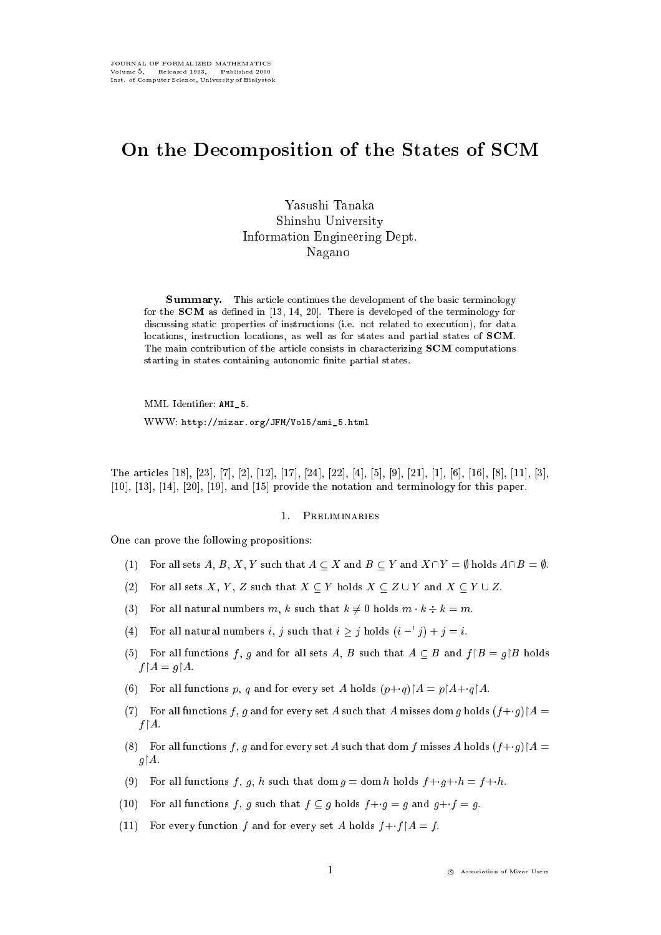# On the Decomposition of the States of SCM

Yasushi Tanaka Shinshu University Information Engineering Dept. Nagano

Summary. This article continues the development of the basic terminology for the SCM as dened in [13, 14, 20]. There is developed of the terminology for discussing static properties of instructions (i.e. not related to execution), for data locations, instruction locations, as well as for states and partial states of SCM. The main contribution of the article consists in characterizing SCM computations starting in states containing autonomic nite partial states.

MML Identier: AMI\_5.

with the second  $\alpha$  mixarrows is started to the second contract of the second second second second second second second second second second second second second second second second second second second second second sec

The articles [18], [23], [7], [2], [12], [17], [24], [22], [4], [5], [9], [21], [1], [6], [16], [8], [11], [3], [10], [13], [14], [20], [19], and [15] provide the notation and terminology for this paper.

#### 1. Preliminaries

One can prove the following propositions:

- (1) For all sets A, B, X, Y such that  $A \subseteq X$  and  $B \subseteq Y$  and  $X \cap Y = \emptyset$  holds  $A \cap B = \emptyset$ .
- (2) For all sets X, Y, Z such that  $X \subseteq Y$  holds  $X \subseteq Z \cup Y$  and  $X \subseteq Y \cup Z$ .
- (3) For all natural numbers m, k such that  $k \neq 0$  holds  $m \cdot k \div k = m$ .
- (4) For all natural numbers i, j such that  $i \geq j$  holds  $(i j) + j = i$ .
- (5) For all functions f, g and for all sets A, B such that  $A \subseteq B$  and  $f \upharpoonright B = g \upharpoonright B$  holds  $f \upharpoonright A = g \upharpoonright A.$
- (6) For all functions p, q and for every set A holds  $(p+q)\upharpoonright A = p\upharpoonright A+q\upharpoonright A$ .
- (7) For all functions f, g and for every set A such that A misses dom g holds  $(f+g) \upharpoonright A =$  $f \upharpoonright A$ .
- (8) For all functions f, g and for every set A such that dom f misses A holds  $(f+g) \upharpoonright A =$  $g \upharpoonright A$ .
- (9) For all functions f, g, h such that dom  $g = \text{dom } h$  holds  $f+g+h = f+h$ .
- (10) For all functions f, g such that  $f \subseteq g$  holds  $f+g = g$  and  $g+f = g$ .
- (11) For every function f and for every set A holds  $f + \cdot f \upharpoonright A = f$ .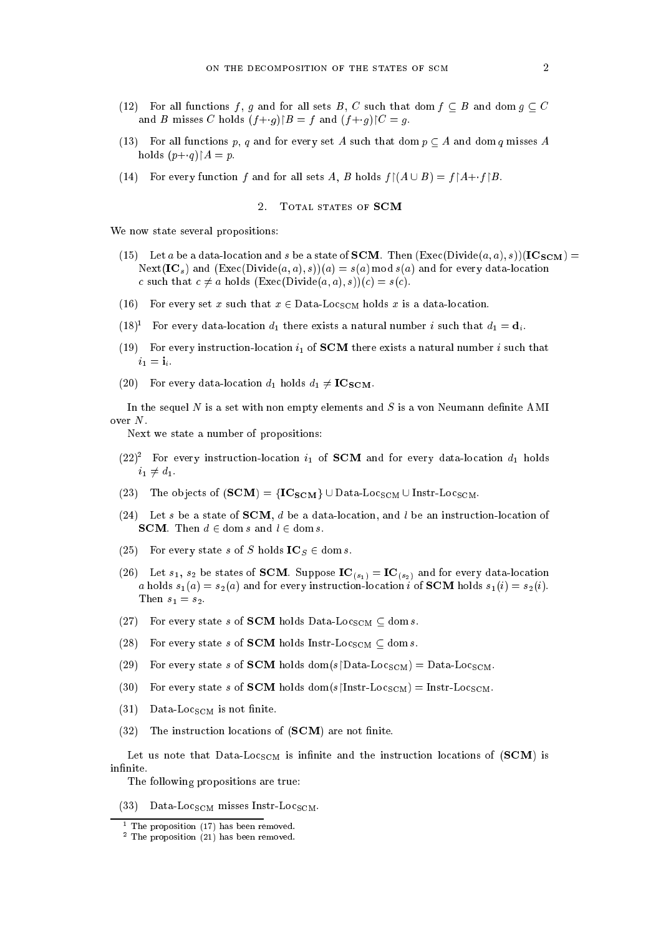- (12) For all functions f, g and for all sets B, C such that dom  $f \subseteq B$  and dom  $g \subseteq C$ and B misses C holds  $(f+g)$  $B = f$  and  $(f+g)$  $C = g$ .
- (13) For all functions p, q and for every set A such that dom  $p \subset A$  and dom q misses A holds  $(p+q) \upharpoonright A = p$ .
- (14) For every function f and for all sets A, B holds  $f | (A \cup B) = f | A+f | B$ .

## 2. TOTAL STATES OF SCM

We now state several propositions:

- (15) Let a be a data-location and s be a state of **SCM**. Then  $(Exec(Divide(a, a), s))(IC_{SCM}) =$ Next(IC<sub>s</sub>) and  $(Exec(Divide(a, a), s))(a) = s(a) \text{ mod } s(a)$  and for every data-location c such that  $c \neq a$  holds  $(Exec(Divide(a, a), s))(c) = s(c)$ .
- (16) For every set x such that  $x \in Data\text{Loc}_{SCM}$  holds x is a data-location.
- (18)<sup>-</sup> For every data-location  $a_1$  there exists a natural number i such that  $a_1 = a_i$ .
- (19) For every instruction-location  $i_1$  of **SCM** there exists a natural number i such that  $i_1 = \mathbf{i}_i.$
- (20) For every data-location  $d_1$  holds  $d_1 \neq \mathbf{IC_{SCM}}$ .

In the sequel  $N$  is a set with non empty elements and  $S$  is a von Neumann definite AMI over N.

Next we state a number of propositions:

- $(22)^2$  for every instruction-location  $i_1$  of SCM and for every data-location  $a_1$  holds  $i_1 \neq d_1.$
- (23) The objects of  $(SCM) = {IC_{SCM}} \cup Data\_{DCSCM} \cup Insert\_{DCSCM}.$
- (24) Let s be a state of **SCM**, d be a data-location, and l be an instruction-location of **SCM**. Then  $d \in \text{dom } s$  and  $l \in \text{dom } s$ .
- (25) For every state s of S holds  $IC_S \in \text{dom } s$ .
- (26) Let  $s_1$ ,  $s_2$  be states of **SCM**. Suppose  $IC_{(s_1)} = IC_{(s_2)}$  and for every data-location a holds  $s_1(a) = s_2(a)$  and for every instruction-location i of **SCM** holds  $s_1(i) = s_2(i)$ . Then  $s_1 = s_2$ .
- (27) For every state s of SCM holds Data-Loc<sub>SCM</sub>  $\subseteq$  dom s.
- (28) For every state s of **SCM** holds Instr-Loc<sub>SCM</sub>  $\subseteq$  dom s.
- (29) For every state s of SCM holds dom(s $\Delta$ Data-Loc<sub>SCM</sub>) = Data-Loc<sub>SCM</sub>.
- (30) For every state s of SCM holds dom(s $\text{[Instr-Loc}_{SCM}) = \text{Instr-Loc}_{SCM}$ .
- $(31)$  Data-Loc<sub>SCM</sub> is not finite.
- $(32)$  The instruction locations of  $(SCM)$  are not finite.

Let us note that  $Data\text{-}Loc_{SCM}$  is infinite and the instruction locations of (SCM) is infinite.

The following propositions are true:

 $(33)$  Data-Loc<sub>SCM</sub> misses Instr-Loc<sub>SCM</sub>.

<sup>1</sup> The proposition (17) has been removed.

<sup>2</sup> The proposition (21) has been removed.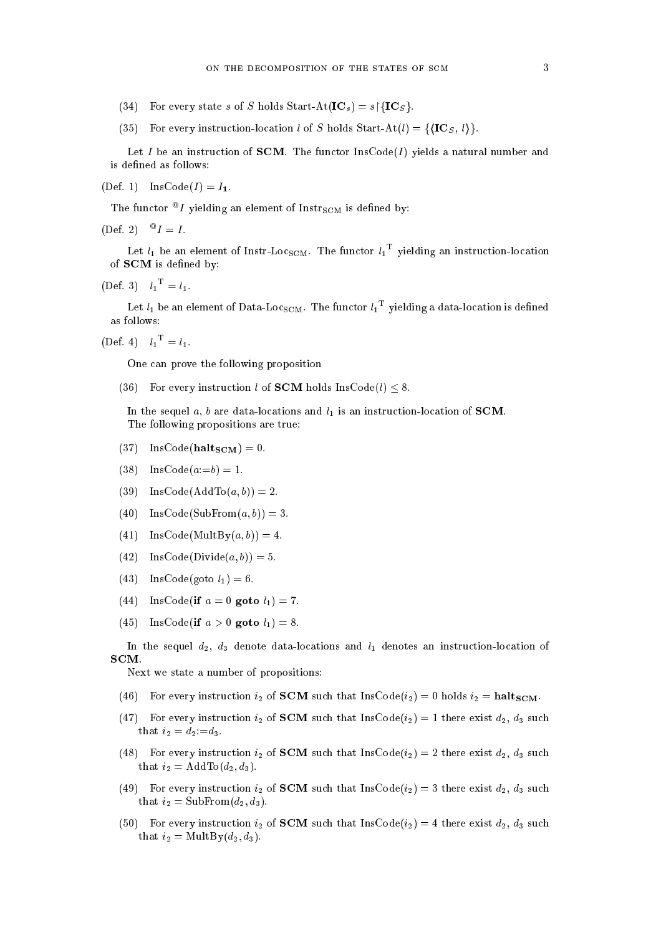- (34) For every state s of S holds Start-At( $\text{IC}_s$ ) = s $\text{IC}_S$ .
- (35) For every instruction-location l of S holds Start-At $(l) = \{ \langle \mathbf{IC}_S, l \rangle \}.$

Let I be an instruction of **SCM**. The functor  $\text{InsCode}(I)$  yields a natural number and is defined as follows:

 $(Def. 1)$  InsCode $(I) = I_1$ .

The functor  $\sim$  *I* yielding an element of instr<sub>SCM</sub> is defined by:

 $[DE1, 2] = I = I.$ 

Let  $\iota_1$  be an element of Instr-Loc $_{\rm SCM}$ . The functor  $\iota_1$  – yielding an instruction-location of **SCM** is defined by:

 $(Det. 3)$   $l_1 = l_1.$ 

Let  $\iota_1$  be an element of Data-Loc $_{\rm SCM}$ . The functor  $\iota_1$  –yielding a data-location is defined as follows:

 $(Det. 4)$   $l_1 = l_1.$ 

One can prove the following proposition

(36) For every instruction l of **SCM** holds  $\text{InsCode}(l) \leq 8$ .

In the sequel a, b are data-locations and  $l_1$  is an instruction-location of **SCM**. The following propositions are true:

- $(37)$  InsCode(halt<sub>SCM</sub>) = 0.
- $(38)$  InsCode $(a;=b) = 1$ .
- (39) InsCode(AddTo $(a, b)$ ) = 2.
- (40)  $InsCode(SubFrom(a, b)) = 3.$
- (41) InsCode(MultBy $(a, b)$ ) = 4.
- (42) InsCode(Divide $(a, b)$ ) = 5.
- (43) InsCode(goto  $l_1$ ) = 6.
- (44) InsCode(if  $a = 0$  goto  $l_1$ ) = 7.
- (45) InsCode(if  $a > 0$  goto  $l_1$ ) = 8.

In the sequel  $d_2$ ,  $d_3$  denote data-locations and  $l_1$  denotes an instruction-location of SCM.

Next we state a number of propositions:

- (46) For every instruction  $i_2$  of **SCM** such that InsCode $(i_2) = 0$  holds  $i_2 = \text{half}_{\text{SCM}}$ .
- (47) For every instruction  $i_2$  of **SCM** such that InsCode( $i_2$ ) = 1 there exist  $d_2$ ,  $d_3$  such that  $i_2 = d_2 := d_3$ .
- (48) For every instruction  $i_2$  of **SCM** such that InsCode( $i_2$ ) = 2 there exist  $d_2$ ,  $d_3$  such that  $i_2 = \text{AddTo}(d_2, d_3)$ .
- (49) For every instruction  $i_2$  of **SCM** such that InsCode $(i_2) = 3$  there exist  $d_2$ ,  $d_3$  such that  $i_2 = SubFrom(d_2, d_3).$
- (50) For every instruction  $i_2$  of **SCM** such that InsCode $(i_2) = 4$  there exist  $d_2$ ,  $d_3$  such that  $i_2 = \text{MultBy}(d_2, d_3)$ .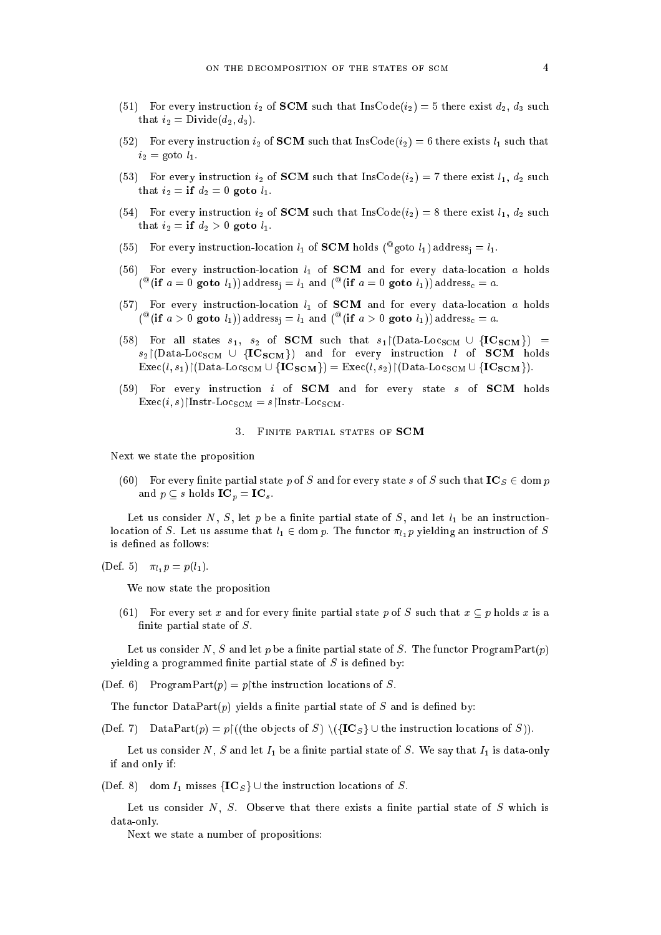- (51) For every instruction  $i_2$  of **SCM** such that InsCode( $i_2$ ) = 5 there exist  $d_2$ ,  $d_3$  such that  $i_2 = \text{Divide}(d_2, d_3)$ .
- (52) For every instruction  $i_2$  of **SCM** such that InsCode $(i_2) = 6$  there exists  $l_1$  such that  $i_2$  = goto  $l_1$ .
- (53) For every instruction  $i_2$  of **SCM** such that InsCode( $i_2$ ) = 7 there exist  $l_1$ ,  $d_2$  such that  $i_2 = if d_2 = 0$  goto  $l_1$ .
- (54) For every instruction  $i_2$  of **SCM** such that InsCode $(i_2) = 8$  there exist  $l_1$ ,  $d_2$  such that  $i_2 = \textbf{if } d_2 > 0 \textbf{ goto } l_1$ .
- (55) For every instruction-location  $i_1$  of SCM holds ( $\frac{1}{2}$ goto  $i_1$ ) address<sub>i</sub> =  $i_1$ .
- (56) For every instruction-location  $l_1$  of **SCM** and for every data-location a holds ( $^-(11)$  a = 0 goto  $i_1$ )) address<sub>i</sub> =  $i_1$  and ( $^-(11)$  a = 0 goto  $i_1$ )) address $_0$  = a.
- (57) For every instruction-location  $l_1$  of **SCM** and for every data-location a holds (and  $a > 0$  goto  $i_1$ )) address<sub>i</sub> =  $i_1$  and (and  $i_1$ ) goto  $i_1$ )) address $c = a$ .
- (58) For all states  $s_1$ ,  $s_2$  of **SCM** such that  $s_1 \upharpoonright (\text{Data-Loc}_{\text{SCM}} \cup \{ \text{IC}_{\text{SCM}} \})$  =  $s_2 \vert (\text{Data-Loc}_{\text{SCM}} \cup \{\text{IC}_{\text{SCM}}\})$  and for every instruction l of SCM holds  $\text{Exec}(l, s_1) \restriction (\text{Data-Loc}_{\text{SCM}} \cup \{\text{IC}_{\text{SCM}}\}) = \text{Exec}(l, s_2) \restriction (\text{Data-Loc}_{\text{SCM}} \cup \{\text{IC}_{\text{SCM}}\}).$
- (59) For every instruction  $i$  of **SCM** and for every state  $s$  of **SCM** holds  $\text{Exec}(i, s)$  $\mid$ Instr-Loc<sub>SCM</sub> = s $\mid$ Instr-Loc<sub>SCM</sub>.

#### 3. FINITE PARTIAL STATES OF SCM

Next we state the proposition

(60) For every finite partial state p of S and for every state s of S such that  $\mathbf{IC}_S \in \text{dom } p$ and  $p \subseteq s$  holds  $\mathbf{IC}_p = \mathbf{IC}_s$ .

Let us consider N, S, let p be a finite partial state of S, and let  $l_1$  be an instructionlocation of S. Let us assume that  $l_1 \in \text{dom } p$ . The functor  $\pi_{l_1} p$  yielding an instruction of S is defined as follows:

(Def. 5) 
$$
\pi_{l_1} p = p(l_1)
$$
.

We now state the proposition

(61) For every set x and for every finite partial state p of S such that  $x \subseteq p$  holds x is a finite partial state of  $S$ .

Let us consider N, S and let p be a finite partial state of S. The functor  $\text{ProgramPart}(p)$ yielding a programmed finite partial state of  $S$  is defined by:

(Def. 6) ProgramPart $(p) = p$ | the instruction locations of S.

The functor DataPart $(p)$  yields a finite partial state of S and is defined by:

(Def. 7) DataPart $(p) = p \restriction ((\text{the objects of } S) \setminus (\{IC_S \} \cup \text{the instruction locations of } S)).$ 

Let us consider N, S and let  $I_1$  be a finite partial state of S. We say that  $I_1$  is data-only if and only if:

(Def. 8) dom  $I_1$  misses  $\{IC_s\}$  U the instruction locations of S.

Let us consider  $N, S$ . Observe that there exists a finite partial state of  $S$  which is data-only.

Next we state a number of propositions: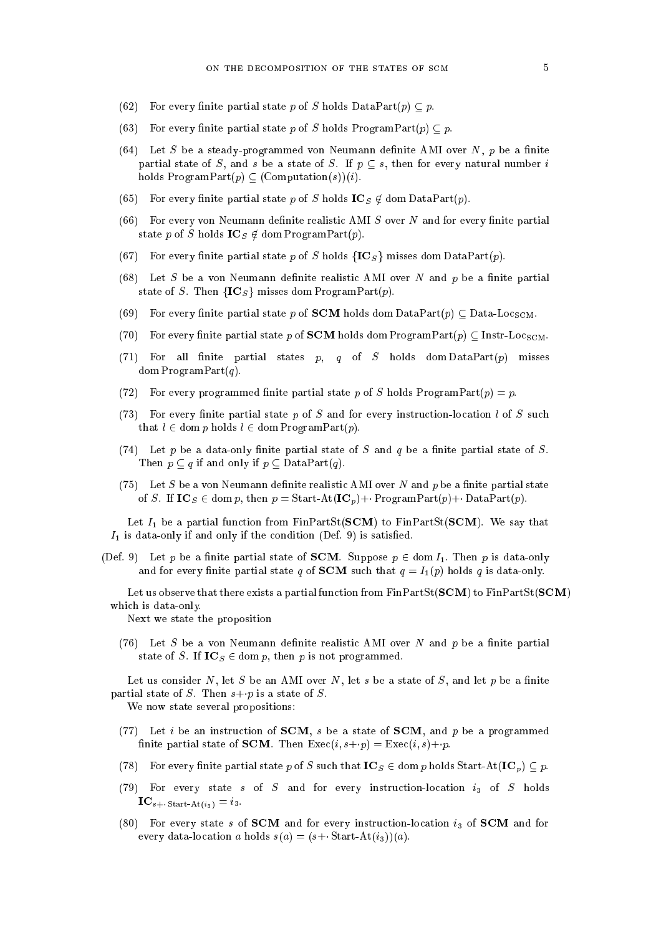- (62) For every finite partial state p of S holds DataPart(p)  $\subseteq$  p.
- (63) For every finite partial state p of S holds ProgramPart(p)  $\subset p$ .
- (64) Let S be a steady-programmed von Neumann definite AMI over  $N$ , p be a finite partial state of S, and s be a state of S. If  $p \subseteq s$ , then for every natural number i holds  $ProgramPart(p) \subset (Computation(s))(i)$ .
- (65) For every finite partial state p of S holds  $IC_S \notin \text{dom DataPart}(p)$ .
- $(66)$  For every von Neumann definite realistic AMI S over N and for every finite partial state p of S holds  $\mathbf{IC}_S \notin \text{dom ProgramPart}(p)$ .
- (67) For every finite partial state p of S holds  ${IC_s}$  misses dom DataPart(p).
- (68) Let S be a von Neumann definite realistic AMI over N and p be a finite partial state of S. Then  ${IC_s}$  misses dom ProgramPart(p).
- (69) For every finite partial state p of **SCM** holds dom DataPart $(p) \subseteq$  Data-Loc<sub>SCM</sub>.
- (70) For every finite partial state p of **SCM** holds dom ProgramPart(p)  $\subset$  Instr-Locs<sub>CM</sub>.
- (71) For all finite partial states  $p, q$  of S holds dom DataPart $(p)$  misses dom Program $Part(q)$ .
- (72) For every programmed finite partial state p of S holds ProgramPart $(p) = p$ .
- (73) For every finite partial state  $p$  of  $S$  and for every instruction-location l of  $S$  such that  $l \in \text{dom } p$  holds  $l \in \text{dom } \text{ProgramPart}(p)$ .
- (74) Let p be a data-only finite partial state of S and q be a finite partial state of S. Then  $p \subset q$  if and only if  $p \subset$  DataPart $(q)$ .
- (75) Let S be a von Neumann definite realistic AMI over N and p be a finite partial state of S. If  $IC_S \in \text{dom } p$ , then  $p = \text{Start-At}(\text{IC}_p) + \text{ProgramPart}(p) + \text{DataPart}(p)$ .

Let  $I_1$  be a partial function from FinPartSt(**SCM**) to FinPartSt(**SCM**). We say that  $I_1$  is data-only if and only if the condition (Def. 9) is satisfied.

(Def. 9) Let p be a finite partial state of **SCM**. Suppose  $p \in \text{dom } I_1$ . Then p is data-only and for every finite partial state q of **SCM** such that  $q = I_1(p)$  holds q is data-only.

Let us observe that there exists a partial function from  $FinPartSt(SCM)$  to  $FinPartSt(SCM)$ which is data-only.

Next we state the proposition

(76) Let S be a von Neumann definite realistic AMI over N and p be a finite partial state of S. If  $IC_S \in \text{dom } p$ , then p is not programmed.

Let us consider N, let S be an AMI over N, let s be a state of S, and let p be a finite partial state of S. Then  $s+p$  is a state of S.

We now state several propositions:

- (77) Let i be an instruction of **SCM**, s be a state of **SCM**, and p be a programmed finite partial state of **SCM**. Then  $\text{Exec}(i, s+p) = \text{Exec}(i, s)+p$ .
- (78) For every finite partial state p of S such that  $IC_S \in \text{dom } p$  holds Start-At( $IC_p$ )  $\subseteq p$ .
- (79) For every state s of S and for every instruction-location  $i_3$  of S holds  $$
- (80) For every state s of SCM and for every instruction-location  $i_3$  of SCM and for every data-location a holds  $s(a) = (s + \text{Start-At}(i_3))(a)$ .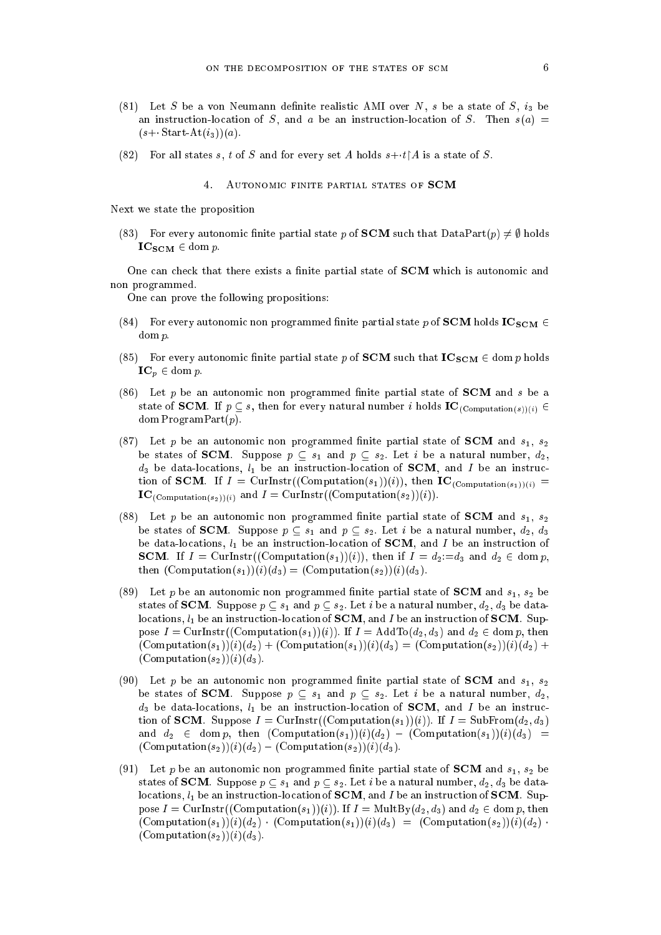- (81) Let S be a von Neumann definite realistic AMI over N, s be a state of S,  $i_3$  be an instruction-location of S, and a be an instruction-location of S. Then  $s(a)$  =  $(s+\text{-Start-At}(i_3))(a).$
- (82) For all states s, t of S and for every set A holds  $s+t\upharpoonright A$  is a state of S.

### 4. Autonomic finite partial states of SCM

Next we state the proposition

(83) For every autonomic finite partial state p of **SCM** such that  $DataPart(p) \neq \emptyset$  holds  $IC_{SCM} \in \text{dom } p.$ 

One can check that there exists a finite partial state of **SCM** which is autonomic and non programmed.

One can prove the following propositions:

- (84) For every autonomic non programmed finite partial state p of **SCM** holds  $IC_{SCM}$   $\in$ dom p:
- (85) For every autonomic finite partial state p of **SCM** such that  $IC_{SCM} \in \text{dom } p$  holds  $\mathbf{IC}_p \in \text{dom } p.$
- (86) Let p be an autonomic non programmed finite partial state of  $SCM$  and s be a state of SCM. If  $p \subseteq s$ , then for every natural number i holds  $IC_{(Computation(s))(i)} \in$ dom Program $Part(p)$ .
- (87) Let p be an autonomic non programmed finite partial state of **SCM** and  $s_1$ ,  $s_2$ be states of SCM. Suppose  $p \subseteq s_1$  and  $p \subseteq s_2$ . Let i be a natural number,  $d_2$ ,  $d_3$  be data-locations,  $l_1$  be an instruction-location of **SCM**, and I be an instruction of **SCM**. If  $I = \text{Curlnstr}((\text{Computation}(s_1))(i))$ , then  $IC_{(\text{Computation}(s_1))(i)}$  $IC_{(Computation(s_2))(i)}$  and  $I = CurInstr((Computation(s_2))(i)).$
- (88) Let p be an autonomic non programmed finite partial state of SCM and  $s_1, s_2$ be states of **SCM**. Suppose  $p \subseteq s_1$  and  $p \subseteq s_2$ . Let i be a natural number,  $d_2$ ,  $d_3$ be data-locations,  $l_1$  be an instruction-location of **SCM**, and I be an instruction of **SCM**. If  $I = \text{CurInstr}((\text{Computation}(s_1))(i))$ , then if  $I = d_2 := d_3$  and  $d_2 \in \text{dom } p$ , then  $(Computation(s_1))(i)(d_3) = (Computation(s_2))(i)(d_3).$
- (89) Let p be an autonomic non programmed finite partial state of **SCM** and  $s_1$ ,  $s_2$  be states of **SCM**. Suppose  $p \subseteq s_1$  and  $p \subseteq s_2$ . Let i be a natural number,  $d_2$ ,  $d_3$  be datalocations,  $l_1$  be an instruction-location of **SCM**, and I be an instruction of **SCM**. Suppose  $I = \text{CurInstr}((\text{Computation}(s_1))(i))$ . If  $I = \text{AddTo}(d_2, d_3)$  and  $d_2 \in \text{dom } p$ , then  $(\text{Computation}(s_1))(i)(d_2) + (\text{Computation}(s_1))(i)(d_3) = (\text{Computation}(s_2))(i)(d_2) +$  $(Computation(s<sub>2</sub>))(i)(d<sub>3</sub>).$
- (90) Let p be an autonomic non programmed finite partial state of **SCM** and  $s_1$ ,  $s_2$ be states of **SCM**. Suppose  $p \subseteq s_1$  and  $p \subseteq s_2$ . Let i be a natural number,  $d_2$ ,  $d_3$  be data-locations,  $l_1$  be an instruction-location of **SCM**, and I be an instruction of **SCM**. Suppose  $I =$  CurInstr((Computation( $s_1$ ))(i)). If  $I =$  SubFrom( $d_2, d_3$ ) and  $d_2 \in \text{dom } p$ , then  $(\text{Computation}(s_1))(i)(d_2) - (\text{Computation}(s_1))(i)(d_3) =$  $(\text{Computation}(s_2))(i)(d_2) - (\text{Computation}(s_2))(i)(d_3).$
- (91) Let p be an autonomic non programmed finite partial state of SCM and  $s_1, s_2$  be states of **SCM**. Suppose  $p \subseteq s_1$  and  $p \subseteq s_2$ . Let i be a natural number,  $d_2$ ,  $d_3$  be datalocations,  $l_1$  be an instruction-location of SCM, and I be an instruction of SCM. Suppose  $I = \text{CurInstr}((\text{Computation}(s_1))(i))$ . If  $I = \text{MultBy}(d_2, d_3)$  and  $d_2 \in \text{dom } p$ , then  $(\text{Computation}(s_1))(i)(d_2) \cdot (\text{Computation}(s_1))(i)(d_3) = (\text{Computation}(s_2))(i)(d_2)$ .  $(Computation(s<sub>2</sub>))(i)(d<sub>3</sub>).$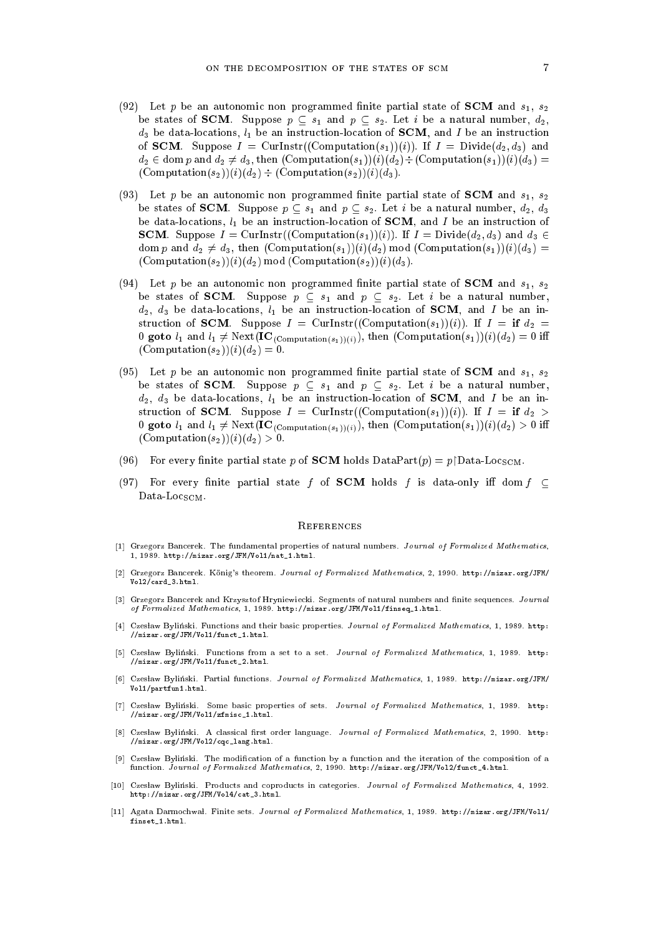- (92) Let p be an autonomic non programmed finite partial state of SCM and  $s_1, s_2$ be states of SCM. Suppose  $p \subseteq s_1$  and  $p \subseteq s_2$ . Let i be a natural number,  $d_2$ ,  $d_3$  be data-locations,  $l_1$  be an instruction-location of **SCM**, and I be an instruction of **SCM**. Suppose  $I = \text{CurInstr}((\text{Computation}(s_1))(i))$ . If  $I = \text{Divide}(d_2, d_3)$  and  $d_2 \in \text{dom } p \text{ and } d_2 \neq d_3$ , then  $(\text{Computation}(s_1))(i)(d_2) \div (\text{Computation}(s_1))(i)(d_3) =$  $(Computation(s_2))(i)(d_2) \div (Computation(s_2))(i)(d_3).$
- (93) Let p be an autonomic non programmed finite partial state of **SCM** and  $s_1$ ,  $s_2$ be states of **SCM**. Suppose  $p \text{ }\subset s_1$  and  $p \subset s_2$ . Let i be a natural number,  $d_2$ ,  $d_3$ be data-locations,  $l_1$  be an instruction-location of **SCM**, and I be an instruction of **SCM.** Suppose  $I = \text{CurInstr}((\text{Computation}(s_1))(i))$ . If  $I = \text{Divide}(d_2, d_3)$  and  $d_3 \in$ dom p and  $d_2 \neq d_3$ , then  $(Computation(s_1))(i)(d_2) \text{ mod } (Computation(s_1))(i)(d_3)$  $(\text{Computation}(s_2))(i)(d_2) \text{ mod } (\text{Computation}(s_2))(i)(d_3).$
- (94) Let p be an autonomic non programmed finite partial state of **SCM** and  $s_1$ ,  $s_2$ be states of SCM. Suppose  $p \subseteq s_1$  and  $p \subseteq s_2$ . Let i be a natural number,  $d_2, d_3$  be data-locations,  $l_1$  be an instruction-location of **SCM**, and I be an instruction of **SCM**. Suppose  $I = \text{CurInstr}((\text{Computation}(s_1))(i))$ . If  $I = \text{if } d_2 =$ 0 goto  $l_1$  and  $l_1 \neq \text{Next}(\mathbf{IC}_{(Computation(s_1))(i)}),$  then  $(Computation(s_1))(i)(d_2) = 0$  iff  $(\text{Computation}(s_2))(i)(d_2) = 0.$
- (95) Let p be an autonomic non programmed finite partial state of **SCM** and  $s_1$ ,  $s_2$ be states of **SCM**. Suppose  $p \text{ }\subset s_1$  and  $p \text{ }\subset s_2$ . Let i be a natural number,  $d_2$ ,  $d_3$  be data-locations,  $l_1$  be an instruction-location of **SCM**, and I be an instruction of **SCM**. Suppose  $I =$  CurInstr((Computation(s<sub>1</sub>))(i)). If  $I =$  if  $d_2 >$ 0 goto  $l_1$  and  $l_1 \neq \text{Next}(\mathbf{IC}_{(Computation(s_1))(i)}),$  then  $(Computation(s_1))(i)(d_2) > 0$  iff  $(Computation(s_2))(i)(d_2) > 0.$
- (96) For every finite partial state p of **SCM** holds  $DataPart(p) = p | Data-Loc<sub>SCM</sub>$ .
- (97) For every finite partial state f of **SCM** holds f is data-only iff dom  $f \subset$ Data-Loc $_{SCM}$ .

#### **REFERENCES**

- [1] Grzegorz Bancerek. The fundamental properties of natural numbers. Journal of Formalized Mathematics, 1.1989. http://mizar.org/JFM/Vol1/nat 1.html.  $1$ , 1989. http://mizar.org/JFM/Vol.11.html...
- [2] Grzegorz Bancerek. Konig's theorem. Journal of Formalized Mathematics, 2, 1990. http://mizar.org/JFM/ Vol2/card\_3.html.
- [3] Grzegorz Bancerek and Krzysztof Hryniewiecki. Segments of natural numbers and finite sequences. Journal of Formalized Mathematics, 1, 1989. http://mizar.org/JFM/Vol1/finseq\_1.html.
- [4] Czesław Byliński. Functions and their basic properties. Journal of Formalized Mathematics, 1, 1989. http: //mizar.org/JFM/Vol1/funct\_1.html.
- [5] Czes law Bylinski. Functions from a set to a set. Journal of Formalized Mathematics, 1, 1989. http: //mizar.org/JFM/Vol1/funct\_2.html.
- [6] Czes law Bylinski. Partial functions. Journal of Formalized Mathematics, 1, 1989. http://mizar.org/JFM/ Vol1/partfun1.html.
- [7] Czesław Byliński. Some basic properties of sets. Journal of Formalized Mathematics, 1, 1989. http: //mizar.org/JFM/Vol1/zfmisc\_1.html.
- [8] Czesław Byliński. A classical first order language. Journal of Formalized Mathematics, 2, 1990. http: //mizar.org/JFM/Vol2/cqc\_lang.html.
- [9] Czesław Byliński. The modification of a function by a function and the iteration of the composition of a function. Journal of Formalized Mathematics, 2, 1990. http://mizar.org/JFM/Vol2/funct\_4.html.
- [10] Czesław Byliński. Products and coproducts in categories. Journal of Formalized Mathematics, 4, 1992. http://mizar.org/JFM/Vol4/cat\_3.html.
- [11] Agata Darmochwal. Finite sets. Journal of Formalized Mathematics, 1, 1989. http://mizar.org/JFM/Vo11/ finset\_1.html.